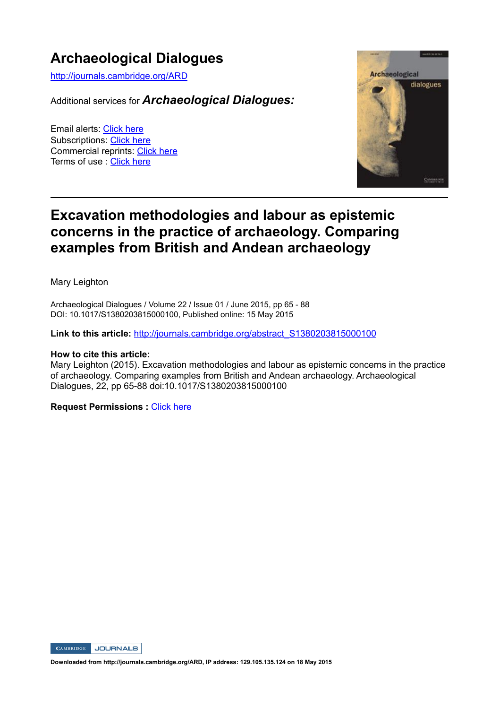# **Archaeological Dialogues**

http://journals.cambridge.org/ARD

Additional services for *Archaeological Dialogues:*

Email alerts: Click here Subscriptions: Click here Commercial reprints: Click here Terms of use : Click here



# **Excavation methodologies and labour as epistemic concerns in the practice of archaeology. Comparing examples from British and Andean archaeology**

Mary Leighton

Archaeological Dialogues / Volume 22 / Issue 01 / June 2015, pp 65 - 88 DOI: 10.1017/S1380203815000100, Published online: 15 May 2015

Link to this article: http://journals.cambridge.org/abstract\_S1380203815000100

### **How to cite this article:**

Mary Leighton (2015). Excavation methodologies and labour as epistemic concerns in the practice of archaeology. Comparing examples from British and Andean archaeology. Archaeological Dialogues, 22, pp 65-88 doi:10.1017/S1380203815000100

**Request Permissions :** Click here

**CAMBRIDGE JOURNALS** 

**Downloaded from http://journals.cambridge.org/ARD, IP address: 129.105.135.124 on 18 May 2015**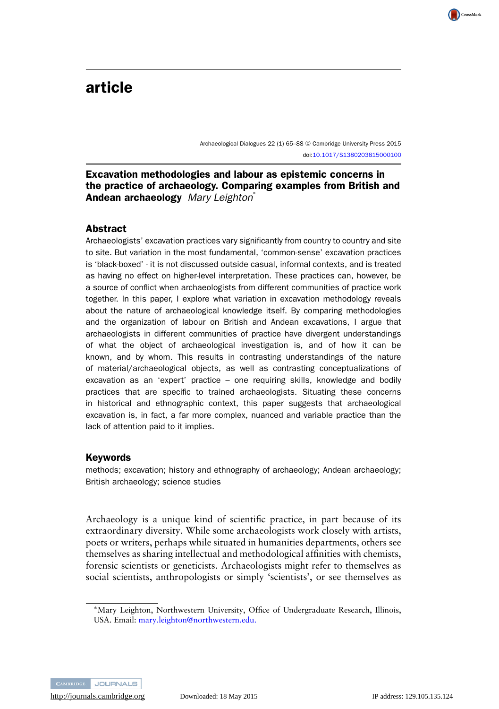# article

Archaeological Dialogues 22 (1) 65–88 © Cambridge University Press 2015 doi[:10.1017/S1380203815000100](http://dx.doi.org/10.1017/S1380203815000100)

Excavation methodologies and labour as epistemic concerns in the practice of archaeology. Comparing examples from British and Andean archaeology Mary Leighton<sup>®</sup>

# Abstract

Archaeologists' excavation practices vary significantly from country to country and site to site. But variation in the most fundamental, 'common-sense' excavation practices is 'black-boxed' - it is not discussed outside casual, informal contexts, and is treated as having no effect on higher-level interpretation. These practices can, however, be a source of conflict when archaeologists from different communities of practice work together. In this paper, I explore what variation in excavation methodology reveals about the nature of archaeological knowledge itself. By comparing methodologies and the organization of labour on British and Andean excavations, I argue that archaeologists in different communities of practice have divergent understandings of what the object of archaeological investigation is, and of how it can be known, and by whom. This results in contrasting understandings of the nature of material/archaeological objects, as well as contrasting conceptualizations of excavation as an 'expert' practice – one requiring skills, knowledge and bodily practices that are specific to trained archaeologists. Situating these concerns in historical and ethnographic context, this paper suggests that archaeological excavation is, in fact, a far more complex, nuanced and variable practice than the lack of attention paid to it implies.

## Keywords

methods; excavation; history and ethnography of archaeology; Andean archaeology; British archaeology; science studies

Archaeology is a unique kind of scientific practice, in part because of its extraordinary diversity. While some archaeologists work closely with artists, poets or writers, perhaps while situated in humanities departments, others see themselves as sharing intellectual and methodological affinities with chemists, forensic scientists or geneticists. Archaeologists might refer to themselves as social scientists, anthropologists or simply 'scientists', or see themselves as



CrossMark

<sup>∗</sup>Mary Leighton, Northwestern University, Office of Undergraduate Research, Illinois, USA. Email: [mary.leighton@northwestern.edu.](mailto:mary.leighton@northwestern.edu.)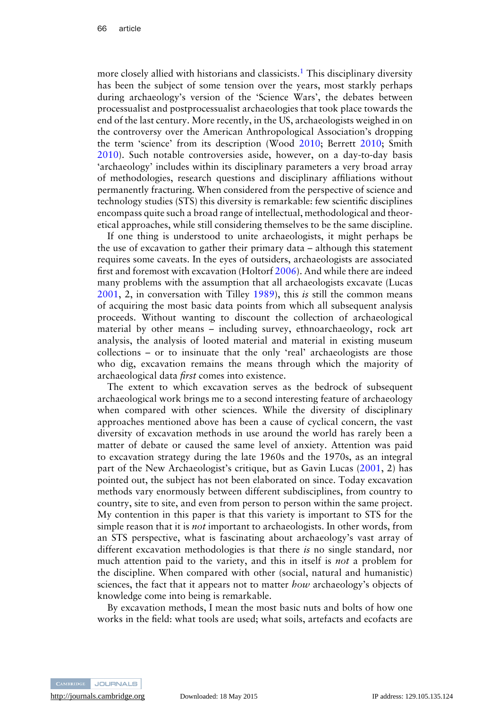more closely allied with historians and classicists[.](#page-22-0)<sup>1</sup> This disciplinary diversity has been the subject of some tension over the years, most starkly perhaps during archaeology's version of the 'Science Wars', the debates between processualist and postprocessualist archaeologies that took place towards the end of the last century. More recently, in the US, archaeologists weighed in on the controversy over the American Anthropological Association's dropping the term 'science' from its description (Wood [2010;](#page-24-0) Berrett [2010;](#page-23-0) Smith [2010\)](#page-24-0). Such notable controversies aside, however, on a day-to-day basis 'archaeology' includes within its disciplinary parameters a very broad array of methodologies, research questions and disciplinary affiliations without permanently fracturing. When considered from the perspective of science and technology studies (STS) this diversity is remarkable: few scientific disciplines encompass quite such a broad range of intellectual, methodological and theoretical approaches, while still considering themselves to be the same discipline.

If one thing is understood to unite archaeologists, it might perhaps be the use of excavation to gather their primary data – although this statement requires some caveats. In the eyes of outsiders, archaeologists are associated first and foremost with excavation (Holtorf [2006\)](#page-24-0). And while there are indeed many problems with the assumption that all archaeologists excavate (Lucas [2001,](#page-24-0) 2, in conversation with Tilley [1989\)](#page-24-0), this *is* still the common means of acquiring the most basic data points from which all subsequent analysis proceeds. Without wanting to discount the collection of archaeological material by other means – including survey, ethnoarchaeology, rock art analysis, the analysis of looted material and material in existing museum collections – or to insinuate that the only 'real' archaeologists are those who dig, excavation remains the means through which the majority of archaeological data *first* comes into existence.

The extent to which excavation serves as the bedrock of subsequent archaeological work brings me to a second interesting feature of archaeology when compared with other sciences. While the diversity of disciplinary approaches mentioned above has been a cause of cyclical concern, the vast diversity of excavation methods in use around the world has rarely been a matter of debate or caused the same level of anxiety. Attention was paid to excavation strategy during the late 1960s and the 1970s, as an integral part of the New Archaeologist's critique, but as Gavin Lucas [\(2001,](#page-24-0) 2) has pointed out, the subject has not been elaborated on since. Today excavation methods vary enormously between different subdisciplines, from country to country, site to site, and even from person to person within the same project. My contention in this paper is that this variety is important to STS for the simple reason that it is *not* important to archaeologists. In other words, from an STS perspective, what is fascinating about archaeology's vast array of different excavation methodologies is that there *is* no single standard, nor much attention paid to the variety, and this in itself is *not* a problem for the discipline. When compared with other (social, natural and humanistic) sciences, the fact that it appears not to matter *how* archaeology's objects of knowledge come into being is remarkable.

By excavation methods, I mean the most basic nuts and bolts of how one works in the field: what tools are used; what soils, artefacts and ecofacts are

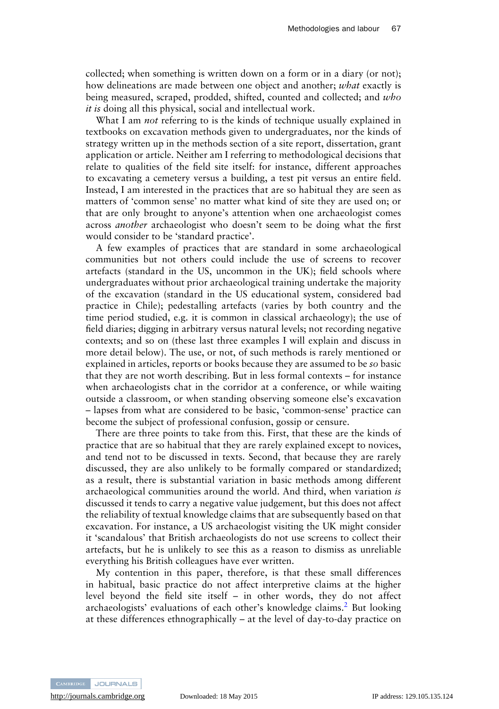collected; when something is written down on a form or in a diary (or not); how delineations are made between one object and another; *what* exactly is being measured, scraped, prodded, shifted, counted and collected; and *who it is* doing all this physical, social and intellectual work.

What I am *not* referring to is the kinds of technique usually explained in textbooks on excavation methods given to undergraduates, nor the kinds of strategy written up in the methods section of a site report, dissertation, grant application or article. Neither am I referring to methodological decisions that relate to qualities of the field site itself: for instance, different approaches to excavating a cemetery versus a building, a test pit versus an entire field. Instead, I am interested in the practices that are so habitual they are seen as matters of 'common sense' no matter what kind of site they are used on; or that are only brought to anyone's attention when one archaeologist comes across *another* archaeologist who doesn't seem to be doing what the first would consider to be 'standard practice'.

A few examples of practices that are standard in some archaeological communities but not others could include the use of screens to recover artefacts (standard in the US, uncommon in the UK); field schools where undergraduates without prior archaeological training undertake the majority of the excavation (standard in the US educational system, considered bad practice in Chile); pedestalling artefacts (varies by both country and the time period studied, e.g. it is common in classical archaeology); the use of field diaries; digging in arbitrary versus natural levels; not recording negative contexts; and so on (these last three examples I will explain and discuss in more detail below). The use, or not, of such methods is rarely mentioned or explained in articles, reports or books because they are assumed to be *so* basic that they are not worth describing. But in less formal contexts – for instance when archaeologists chat in the corridor at a conference, or while waiting outside a classroom, or when standing observing someone else's excavation – lapses from what are considered to be basic, 'common-sense' practice can become the subject of professional confusion, gossip or censure.

There are three points to take from this. First, that these are the kinds of practice that are so habitual that they are rarely explained except to novices, and tend not to be discussed in texts. Second, that because they are rarely discussed, they are also unlikely to be formally compared or standardized; as a result, there is substantial variation in basic methods among different archaeological communities around the world. And third, when variation *is* discussed it tends to carry a negative value judgement, but this does not affect the reliability of textual knowledge claims that are subsequently based on that excavation. For instance, a US archaeologist visiting the UK might consider it 'scandalous' that British archaeologists do not use screens to collect their artefacts, but he is unlikely to see this as a reason to dismiss as unreliable everything his British colleagues have ever written.

My contention in this paper, therefore, is that these small differences in habitual, basic practice do not affect interpretive claims at the higher level beyond the field site itself – in other words, they do not affect archaeologists' evaluations of each other's knowledge claims[.](#page-22-0)<sup>2</sup> But looking at these differences ethnographically – at the level of day-to-day practice on

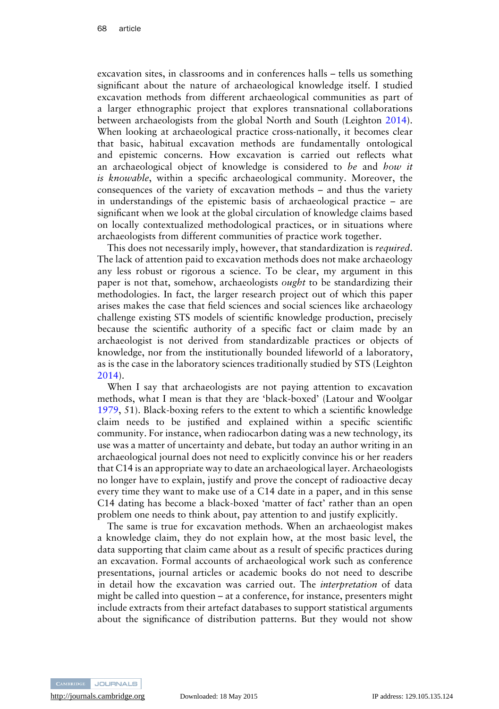excavation sites, in classrooms and in conferences halls – tells us something significant about the nature of archaeological knowledge itself. I studied excavation methods from different archaeological communities as part of a larger ethnographic project that explores transnational collaborations between archaeologists from the global North and South (Leighton [2014\)](#page-24-0). When looking at archaeological practice cross-nationally, it becomes clear that basic, habitual excavation methods are fundamentally ontological and epistemic concerns. How excavation is carried out reflects what an archaeological object of knowledge is considered to *be* and *how it is knowable*, within a specific archaeological community. Moreover, the consequences of the variety of excavation methods – and thus the variety in understandings of the epistemic basis of archaeological practice – are significant when we look at the global circulation of knowledge claims based on locally contextualized methodological practices, or in situations where archaeologists from different communities of practice work together.

This does not necessarily imply, however, that standardization is *required*. The lack of attention paid to excavation methods does not make archaeology any less robust or rigorous a science. To be clear, my argument in this paper is not that, somehow, archaeologists *ought* to be standardizing their methodologies. In fact, the larger research project out of which this paper arises makes the case that field sciences and social sciences like archaeology challenge existing STS models of scientific knowledge production, precisely because the scientific authority of a specific fact or claim made by an archaeologist is not derived from standardizable practices or objects of knowledge, nor from the institutionally bounded lifeworld of a laboratory, as is the case in the laboratory sciences traditionally studied by STS (Leighton [2014\)](#page-24-0).

When I say that archaeologists are not paying attention to excavation methods, what I mean is that they are 'black-boxed' (Latour and Woolgar [1979,](#page-24-0) 51). Black-boxing refers to the extent to which a scientific knowledge claim needs to be justified and explained within a specific scientific community. For instance, when radiocarbon dating was a new technology, its use was a matter of uncertainty and debate, but today an author writing in an archaeological journal does not need to explicitly convince his or her readers that C14 is an appropriate way to date an archaeological layer. Archaeologists no longer have to explain, justify and prove the concept of radioactive decay every time they want to make use of a C14 date in a paper, and in this sense C14 dating has become a black-boxed 'matter of fact' rather than an open problem one needs to think about, pay attention to and justify explicitly.

The same is true for excavation methods. When an archaeologist makes a knowledge claim, they do not explain how, at the most basic level, the data supporting that claim came about as a result of specific practices during an excavation. Formal accounts of archaeological work such as conference presentations, journal articles or academic books do not need to describe in detail how the excavation was carried out. The *interpretation* of data might be called into question – at a conference, for instance, presenters might include extracts from their artefact databases to support statistical arguments about the significance of distribution patterns. But they would not show

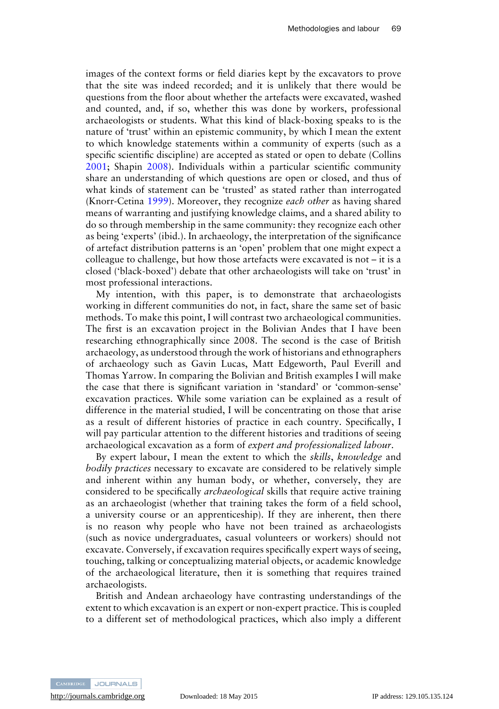images of the context forms or field diaries kept by the excavators to prove that the site was indeed recorded; and it is unlikely that there would be questions from the floor about whether the artefacts were excavated, washed and counted, and, if so, whether this was done by workers, professional archaeologists or students. What this kind of black-boxing speaks to is the nature of 'trust' within an epistemic community, by which I mean the extent to which knowledge statements within a community of experts (such as a specific scientific discipline) are accepted as stated or open to debate (Collins [2001;](#page-23-0) Shapin [2008\)](#page-24-0). Individuals within a particular scientific community share an understanding of which questions are open or closed, and thus of what kinds of statement can be 'trusted' as stated rather than interrogated (Knorr-Cetina [1999\)](#page-24-0). Moreover, they recognize *each other* as having shared means of warranting and justifying knowledge claims, and a shared ability to do so through membership in the same community: they recognize each other as being 'experts' (ibid.). In archaeology, the interpretation of the significance of artefact distribution patterns is an 'open' problem that one might expect a colleague to challenge, but how those artefacts were excavated is not – it is a closed ('black-boxed') debate that other archaeologists will take on 'trust' in most professional interactions.

My intention, with this paper, is to demonstrate that archaeologists working in different communities do not, in fact, share the same set of basic methods. To make this point, I will contrast two archaeological communities. The first is an excavation project in the Bolivian Andes that I have been researching ethnographically since 2008. The second is the case of British archaeology, as understood through the work of historians and ethnographers of archaeology such as Gavin Lucas, Matt Edgeworth, Paul Everill and Thomas Yarrow. In comparing the Bolivian and British examples I will make the case that there is significant variation in 'standard' or 'common-sense' excavation practices. While some variation can be explained as a result of difference in the material studied, I will be concentrating on those that arise as a result of different histories of practice in each country. Specifically, I will pay particular attention to the different histories and traditions of seeing archaeological excavation as a form of *expert and professionalized labour*.

By expert labour, I mean the extent to which the *skills*, *knowledge* and *bodily practices* necessary to excavate are considered to be relatively simple and inherent within any human body, or whether, conversely, they are considered to be specifically *archaeological* skills that require active training as an archaeologist (whether that training takes the form of a field school, a university course or an apprenticeship). If they are inherent, then there is no reason why people who have not been trained as archaeologists (such as novice undergraduates, casual volunteers or workers) should not excavate. Conversely, if excavation requires specifically expert ways of seeing, touching, talking or conceptualizing material objects, or academic knowledge of the archaeological literature, then it is something that requires trained archaeologists.

British and Andean archaeology have contrasting understandings of the extent to which excavation is an expert or non-expert practice. This is coupled to a different set of methodological practices, which also imply a different

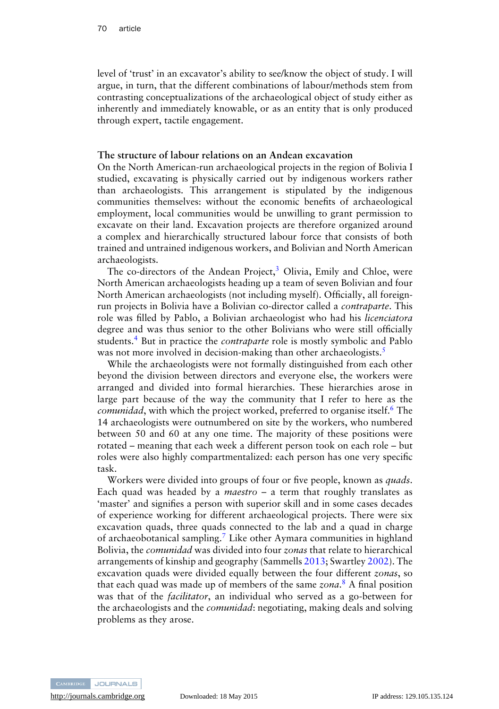level of 'trust' in an excavator's ability to see/know the object of study. I will argue, in turn, that the different combinations of labour/methods stem from contrasting conceptualizations of the archaeological object of study either as inherently and immediately knowable, or as an entity that is only produced through expert, tactile engagement.

### **The structure of labour relations on an Andean excavation**

On the North American-run archaeological projects in the region of Bolivia I studied, excavating is physically carried out by indigenous workers rather than archaeologists. This arrangement is stipulated by the indigenous communities themselves: without the economic benefits of archaeological employment, local communities would be unwilling to grant permission to excavate on their land. Excavation projects are therefore organized around a complex and hierarchically structured labour force that consists of both trained and untrained indigenous workers, and Bolivian and North American archaeologists.

The co-directors of the Andean Project[,](#page-22-0)<sup>3</sup> Olivia, Emily and Chloe, were North American archaeologists heading up a team of seven Bolivian and four North American archaeologists (not including myself). Officially, all foreignrun projects in Bolivia have a Bolivian co-director called a *contraparte*. This role was filled by Pablo, a Bolivian archaeologist who had his *licenciatora* degree and was thus senior to the other Bolivians who were still officially students[.](#page-22-0)<sup>4</sup> But in practice the *contraparte* role is mostly symbolic and Pablo was not more involved in decision-making than other archaeologists[.](#page-22-0)<sup>5</sup>

While the archaeologists were not formally distinguished from each other beyond the division between directors and everyone else, the workers were arranged and divided into formal hierarchies. These hierarchies arose in large part because of the way the community that I refer to here as the *comunidad*, with which the project worked, preferred to organise itself[.](#page-22-0)<sup>6</sup> The 14 archaeologists were outnumbered on site by the workers, who numbered between 50 and 60 at any one time. The majority of these positions were rotated – meaning that each week a different person took on each role – but roles were also highly compartmentalized: each person has one very specific task.

Workers were divided into groups of four or five people, known as *quads*. Each quad was headed by a *maestro* – a term that roughly translates as 'master' and signifies a person with superior skill and in some cases decades of experience working for different archaeological projects. There were six excavation quads, three quads connected to the lab and a quad in charge of archaeobotanical sampling[.](#page-22-0)7 Like other Aymara communities in highland Bolivia, the *comunidad* was divided into four *zonas* that relate to hierarchical arrangements of kinship and geography (Sammells [2013;](#page-24-0) Swartley [2002\)](#page-24-0). The excavation quads were divided equally between the four different *zonas*, so that each quad was made up of members of the same *zona*[.](#page-23-0) <sup>8</sup> A final position was that of the *facilitator*, an individual who served as a go-between for the archaeologists and the *comunidad*: negotiating, making deals and solving problems as they arose.

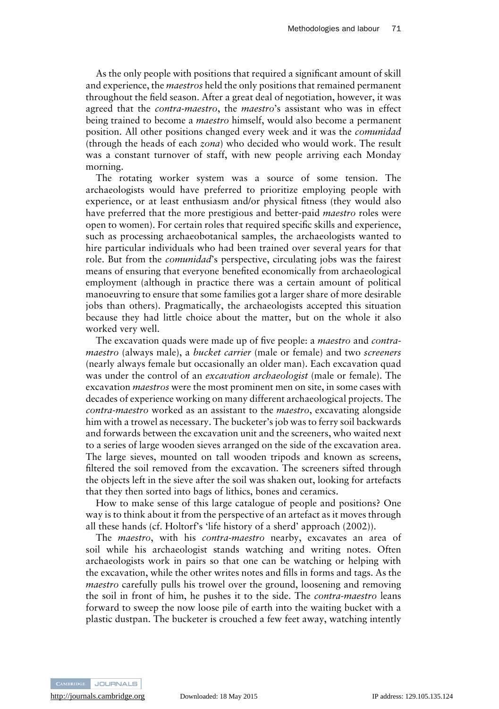As the only people with positions that required a significant amount of skill and experience, the *maestros* held the only positions that remained permanent throughout the field season. After a great deal of negotiation, however, it was agreed that the *contra-maestro*, the *maestro*'s assistant who was in effect being trained to become a *maestro* himself, would also become a permanent position. All other positions changed every week and it was the *comunidad* (through the heads of each *zona*) who decided who would work. The result was a constant turnover of staff, with new people arriving each Monday morning.

The rotating worker system was a source of some tension. The archaeologists would have preferred to prioritize employing people with experience, or at least enthusiasm and/or physical fitness (they would also have preferred that the more prestigious and better-paid *maestro* roles were open to women). For certain roles that required specific skills and experience, such as processing archaeobotanical samples, the archaeologists wanted to hire particular individuals who had been trained over several years for that role. But from the *comunidad*'s perspective, circulating jobs was the fairest means of ensuring that everyone benefited economically from archaeological employment (although in practice there was a certain amount of political manoeuvring to ensure that some families got a larger share of more desirable jobs than others). Pragmatically, the archaeologists accepted this situation because they had little choice about the matter, but on the whole it also worked very well.

The excavation quads were made up of five people: a *maestro* and *contramaestro* (always male), a *bucket carrier* (male or female) and two *screeners* (nearly always female but occasionally an older man). Each excavation quad was under the control of an *excavation archaeologist* (male or female). The excavation *maestros* were the most prominent men on site, in some cases with decades of experience working on many different archaeological projects. The *contra-maestro* worked as an assistant to the *maestro*, excavating alongside him with a trowel as necessary. The bucketer's job was to ferry soil backwards and forwards between the excavation unit and the screeners, who waited next to a series of large wooden sieves arranged on the side of the excavation area. The large sieves, mounted on tall wooden tripods and known as screens, filtered the soil removed from the excavation. The screeners sifted through the objects left in the sieve after the soil was shaken out, looking for artefacts that they then sorted into bags of lithics, bones and ceramics.

How to make sense of this large catalogue of people and positions? One way is to think about it from the perspective of an artefact as it moves through all these hands (cf. Holtorf's 'life history of a sherd' approach (2002)).

The *maestro*, with his *contra-maestro* nearby, excavates an area of soil while his archaeologist stands watching and writing notes. Often archaeologists work in pairs so that one can be watching or helping with the excavation, while the other writes notes and fills in forms and tags. As the *maestro* carefully pulls his trowel over the ground, loosening and removing the soil in front of him, he pushes it to the side. The *contra-maestro* leans forward to sweep the now loose pile of earth into the waiting bucket with a plastic dustpan. The bucketer is crouched a few feet away, watching intently

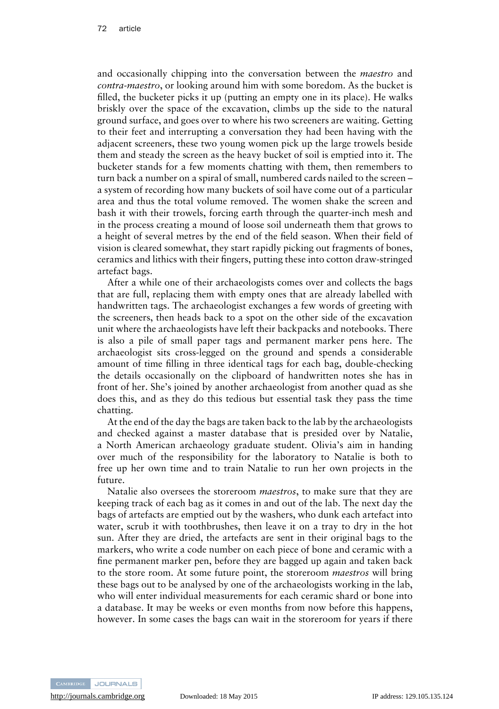and occasionally chipping into the conversation between the *maestro* and *contra-maestro*, or looking around him with some boredom. As the bucket is filled, the bucketer picks it up (putting an empty one in its place). He walks briskly over the space of the excavation, climbs up the side to the natural ground surface, and goes over to where his two screeners are waiting. Getting to their feet and interrupting a conversation they had been having with the adjacent screeners, these two young women pick up the large trowels beside them and steady the screen as the heavy bucket of soil is emptied into it. The bucketer stands for a few moments chatting with them, then remembers to turn back a number on a spiral of small, numbered cards nailed to the screen – a system of recording how many buckets of soil have come out of a particular area and thus the total volume removed. The women shake the screen and bash it with their trowels, forcing earth through the quarter-inch mesh and in the process creating a mound of loose soil underneath them that grows to a height of several metres by the end of the field season. When their field of vision is cleared somewhat, they start rapidly picking out fragments of bones, ceramics and lithics with their fingers, putting these into cotton draw-stringed artefact bags.

After a while one of their archaeologists comes over and collects the bags that are full, replacing them with empty ones that are already labelled with handwritten tags. The archaeologist exchanges a few words of greeting with the screeners, then heads back to a spot on the other side of the excavation unit where the archaeologists have left their backpacks and notebooks. There is also a pile of small paper tags and permanent marker pens here. The archaeologist sits cross-legged on the ground and spends a considerable amount of time filling in three identical tags for each bag, double-checking the details occasionally on the clipboard of handwritten notes she has in front of her. She's joined by another archaeologist from another quad as she does this, and as they do this tedious but essential task they pass the time chatting.

At the end of the day the bags are taken back to the lab by the archaeologists and checked against a master database that is presided over by Natalie, a North American archaeology graduate student. Olivia's aim in handing over much of the responsibility for the laboratory to Natalie is both to free up her own time and to train Natalie to run her own projects in the future.

Natalie also oversees the storeroom *maestros*, to make sure that they are keeping track of each bag as it comes in and out of the lab. The next day the bags of artefacts are emptied out by the washers, who dunk each artefact into water, scrub it with toothbrushes, then leave it on a tray to dry in the hot sun. After they are dried, the artefacts are sent in their original bags to the markers, who write a code number on each piece of bone and ceramic with a fine permanent marker pen, before they are bagged up again and taken back to the store room. At some future point, the storeroom *maestros* will bring these bags out to be analysed by one of the archaeologists working in the lab, who will enter individual measurements for each ceramic shard or bone into a database. It may be weeks or even months from now before this happens, however. In some cases the bags can wait in the storeroom for years if there

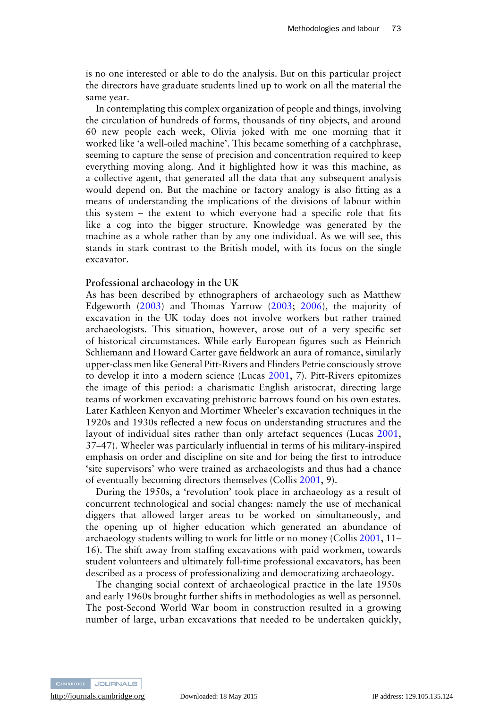is no one interested or able to do the analysis. But on this particular project the directors have graduate students lined up to work on all the material the same year.

In contemplating this complex organization of people and things, involving the circulation of hundreds of forms, thousands of tiny objects, and around 60 new people each week, Olivia joked with me one morning that it worked like 'a well-oiled machine'. This became something of a catchphrase, seeming to capture the sense of precision and concentration required to keep everything moving along. And it highlighted how it was this machine, as a collective agent, that generated all the data that any subsequent analysis would depend on. But the machine or factory analogy is also fitting as a means of understanding the implications of the divisions of labour within this system – the extent to which everyone had a specific role that fits like a cog into the bigger structure. Knowledge was generated by the machine as a whole rather than by any one individual. As we will see, this stands in stark contrast to the British model, with its focus on the single excavator.

#### **Professional archaeology in the UK**

As has been described by ethnographers of archaeology such as Matthew Edgeworth [\(2003\)](#page-23-0) and Thomas Yarrow [\(2003;](#page-24-0) [2006\)](#page-24-0), the majority of excavation in the UK today does not involve workers but rather trained archaeologists. This situation, however, arose out of a very specific set of historical circumstances. While early European figures such as Heinrich Schliemann and Howard Carter gave fieldwork an aura of romance, similarly upper-class men like General Pitt-Rivers and Flinders Petrie consciously strove to develop it into a modern science (Lucas [2001,](#page-24-0) 7). Pitt-Rivers epitomizes the image of this period: a charismatic English aristocrat, directing large teams of workmen excavating prehistoric barrows found on his own estates. Later Kathleen Kenyon and Mortimer Wheeler's excavation techniques in the 1920s and 1930s reflected a new focus on understanding structures and the layout of individual sites rather than only artefact sequences (Lucas [2001,](#page-24-0) 37–47). Wheeler was particularly influential in terms of his military-inspired emphasis on order and discipline on site and for being the first to introduce 'site supervisors' who were trained as archaeologists and thus had a chance of eventually becoming directors themselves (Collis [2001,](#page-23-0) 9).

During the 1950s, a 'revolution' took place in archaeology as a result of concurrent technological and social changes: namely the use of mechanical diggers that allowed larger areas to be worked on simultaneously, and the opening up of higher education which generated an abundance of archaeology students willing to work for little or no money (Collis [2001,](#page-23-0) 11– 16). The shift away from staffing excavations with paid workmen, towards student volunteers and ultimately full-time professional excavators, has been described as a process of professionalizing and democratizing archaeology.

The changing social context of archaeological practice in the late 1950s and early 1960s brought further shifts in methodologies as well as personnel. The post-Second World War boom in construction resulted in a growing number of large, urban excavations that needed to be undertaken quickly,

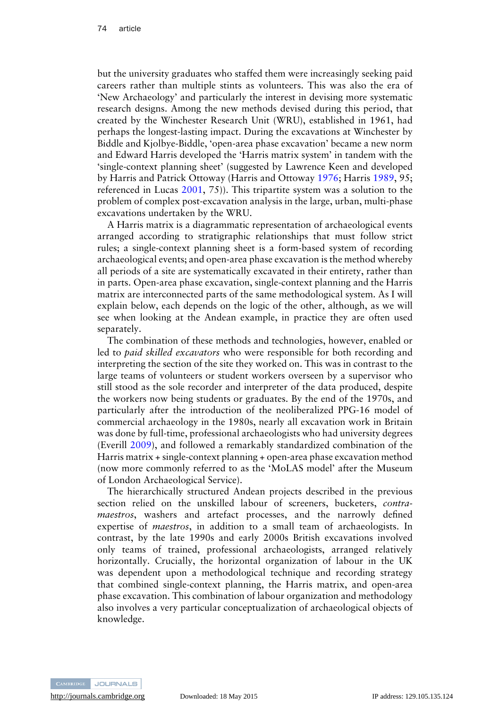but the university graduates who staffed them were increasingly seeking paid careers rather than multiple stints as volunteers. This was also the era of 'New Archaeology' and particularly the interest in devising more systematic research designs. Among the new methods devised during this period, that created by the Winchester Research Unit (WRU), established in 1961, had perhaps the longest-lasting impact. During the excavations at Winchester by Biddle and Kjolbye-Biddle, 'open-area phase excavation' became a new norm and Edward Harris developed the 'Harris matrix system' in tandem with the 'single-context planning sheet' (suggested by Lawrence Keen and developed by Harris and Patrick Ottoway (Harris and Ottoway [1976;](#page-24-0) Harris [1989,](#page-24-0) 95; referenced in Lucas [2001,](#page-24-0) 75)). This tripartite system was a solution to the problem of complex post-excavation analysis in the large, urban, multi-phase excavations undertaken by the WRU.

A Harris matrix is a diagrammatic representation of archaeological events arranged according to stratigraphic relationships that must follow strict rules; a single-context planning sheet is a form-based system of recording archaeological events; and open-area phase excavation is the method whereby all periods of a site are systematically excavated in their entirety, rather than in parts. Open-area phase excavation, single-context planning and the Harris matrix are interconnected parts of the same methodological system. As I will explain below, each depends on the logic of the other, although, as we will see when looking at the Andean example, in practice they are often used separately.

The combination of these methods and technologies, however, enabled or led to *paid skilled excavators* who were responsible for both recording and interpreting the section of the site they worked on. This was in contrast to the large teams of volunteers or student workers overseen by a supervisor who still stood as the sole recorder and interpreter of the data produced, despite the workers now being students or graduates. By the end of the 1970s, and particularly after the introduction of the neoliberalized PPG-16 model of commercial archaeology in the 1980s, nearly all excavation work in Britain was done by full-time, professional archaeologists who had university degrees (Everill [2009\)](#page-24-0), and followed a remarkably standardized combination of the Harris matrix + single-context planning + open-area phase excavation method (now more commonly referred to as the 'MoLAS model' after the Museum of London Archaeological Service).

The hierarchically structured Andean projects described in the previous section relied on the unskilled labour of screeners, bucketers, *contramaestros*, washers and artefact processes, and the narrowly defined expertise of *maestros*, in addition to a small team of archaeologists. In contrast, by the late 1990s and early 2000s British excavations involved only teams of trained, professional archaeologists, arranged relatively horizontally. Crucially, the horizontal organization of labour in the UK was dependent upon a methodological technique and recording strategy that combined single-context planning, the Harris matrix, and open-area phase excavation. This combination of labour organization and methodology also involves a very particular conceptualization of archaeological objects of knowledge.

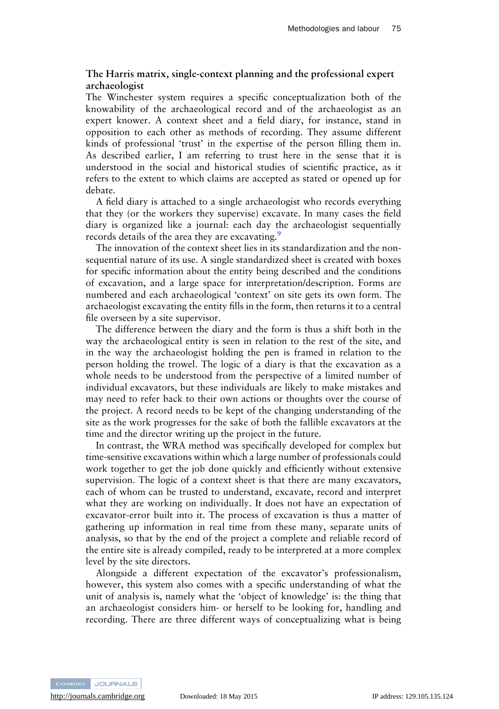# **The Harris matrix, single-context planning and the professional expert archaeologist**

The Winchester system requires a specific conceptualization both of the knowability of the archaeological record and of the archaeologist as an expert knower. A context sheet and a field diary, for instance, stand in opposition to each other as methods of recording. They assume different kinds of professional 'trust' in the expertise of the person filling them in. As described earlier, I am referring to trust here in the sense that it is understood in the social and historical studies of scientific practice, as it refers to the extent to which claims are accepted as stated or opened up for debate.

A field diary is attached to a single archaeologist who records everything that they (or the workers they supervise) excavate. In many cases the field diary is organized like a journal: each day the archaeologist sequentially records details of the area they are excavating[.](#page-23-0)<sup>9</sup>

The innovation of the context sheet lies in its standardization and the nonsequential nature of its use. A single standardized sheet is created with boxes for specific information about the entity being described and the conditions of excavation, and a large space for interpretation/description. Forms are numbered and each archaeological 'context' on site gets its own form. The archaeologist excavating the entity fills in the form, then returns it to a central file overseen by a site supervisor.

The difference between the diary and the form is thus a shift both in the way the archaeological entity is seen in relation to the rest of the site, and in the way the archaeologist holding the pen is framed in relation to the person holding the trowel. The logic of a diary is that the excavation as a whole needs to be understood from the perspective of a limited number of individual excavators, but these individuals are likely to make mistakes and may need to refer back to their own actions or thoughts over the course of the project. A record needs to be kept of the changing understanding of the site as the work progresses for the sake of both the fallible excavators at the time and the director writing up the project in the future.

In contrast, the WRA method was specifically developed for complex but time-sensitive excavations within which a large number of professionals could work together to get the job done quickly and efficiently without extensive supervision. The logic of a context sheet is that there are many excavators, each of whom can be trusted to understand, excavate, record and interpret what they are working on individually. It does not have an expectation of excavator-error built into it. The process of excavation is thus a matter of gathering up information in real time from these many, separate units of analysis, so that by the end of the project a complete and reliable record of the entire site is already compiled, ready to be interpreted at a more complex level by the site directors.

Alongside a different expectation of the excavator's professionalism, however, this system also comes with a specific understanding of what the unit of analysis is, namely what the 'object of knowledge' is: the thing that an archaeologist considers him- or herself to be looking for, handling and recording. There are three different ways of conceptualizing what is being

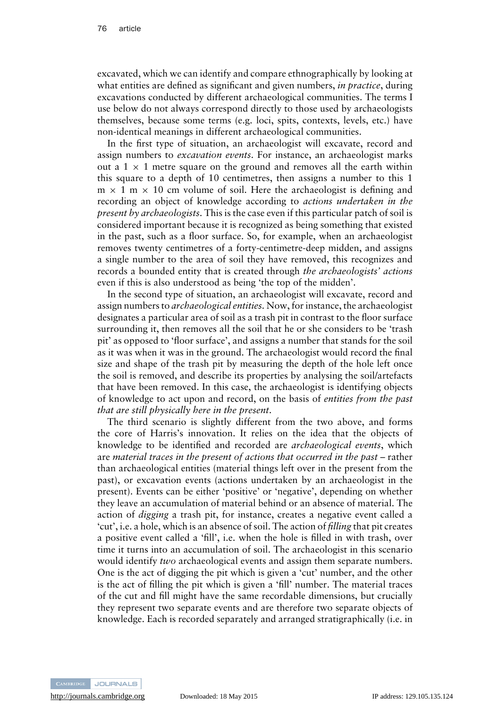excavated, which we can identify and compare ethnographically by looking at what entities are defined as significant and given numbers, *in practice*, during excavations conducted by different archaeological communities. The terms I use below do not always correspond directly to those used by archaeologists themselves, because some terms (e.g. loci, spits, contexts, levels, etc.) have non-identical meanings in different archaeological communities.

In the first type of situation, an archaeologist will excavate, record and assign numbers to *excavation events*. For instance, an archaeologist marks out a  $1 \times 1$  metre square on the ground and removes all the earth within this square to a depth of 10 centimetres, then assigns a number to this 1  $m \times 1$  m  $\times 10$  cm volume of soil. Here the archaeologist is defining and recording an object of knowledge according to *actions undertaken in the present by archaeologists*. This is the case even if this particular patch of soil is considered important because it is recognized as being something that existed in the past, such as a floor surface. So, for example, when an archaeologist removes twenty centimetres of a forty-centimetre-deep midden, and assigns a single number to the area of soil they have removed, this recognizes and records a bounded entity that is created through *the archaeologists' actions* even if this is also understood as being 'the top of the midden'.

In the second type of situation, an archaeologist will excavate, record and assign numbers to *archaeological entities.* Now, for instance, the archaeologist designates a particular area of soil as a trash pit in contrast to the floor surface surrounding it, then removes all the soil that he or she considers to be 'trash pit' as opposed to 'floor surface', and assigns a number that stands for the soil as it was when it was in the ground. The archaeologist would record the final size and shape of the trash pit by measuring the depth of the hole left once the soil is removed, and describe its properties by analysing the soil/artefacts that have been removed. In this case, the archaeologist is identifying objects of knowledge to act upon and record, on the basis of *entities from the past that are still physically here in the present*.

The third scenario is slightly different from the two above, and forms the core of Harris's innovation. It relies on the idea that the objects of knowledge to be identified and recorded are *archaeological events*, which are *material traces in the present of actions that occurred in the past* – rather than archaeological entities (material things left over in the present from the past), or excavation events (actions undertaken by an archaeologist in the present). Events can be either 'positive' or 'negative', depending on whether they leave an accumulation of material behind or an absence of material. The action of *digging* a trash pit, for instance, creates a negative event called a 'cut', i.e. a hole, which is an absence of soil. The action of *filling* that pit creates a positive event called a 'fill', i.e. when the hole is filled in with trash, over time it turns into an accumulation of soil. The archaeologist in this scenario would identify *two* archaeological events and assign them separate numbers. One is the act of digging the pit which is given a 'cut' number, and the other is the act of filling the pit which is given a 'fill' number. The material traces of the cut and fill might have the same recordable dimensions, but crucially they represent two separate events and are therefore two separate objects of knowledge. Each is recorded separately and arranged stratigraphically (i.e. in

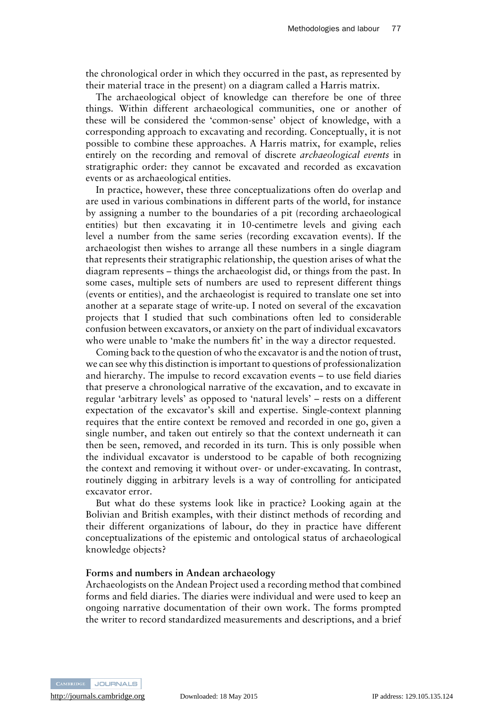the chronological order in which they occurred in the past, as represented by their material trace in the present) on a diagram called a Harris matrix.

The archaeological object of knowledge can therefore be one of three things. Within different archaeological communities, one or another of these will be considered the 'common-sense' object of knowledge, with a corresponding approach to excavating and recording. Conceptually, it is not possible to combine these approaches. A Harris matrix, for example, relies entirely on the recording and removal of discrete *archaeological events* in stratigraphic order: they cannot be excavated and recorded as excavation events or as archaeological entities.

In practice, however, these three conceptualizations often do overlap and are used in various combinations in different parts of the world, for instance by assigning a number to the boundaries of a pit (recording archaeological entities) but then excavating it in 10-centimetre levels and giving each level a number from the same series (recording excavation events). If the archaeologist then wishes to arrange all these numbers in a single diagram that represents their stratigraphic relationship, the question arises of what the diagram represents – things the archaeologist did, or things from the past. In some cases, multiple sets of numbers are used to represent different things (events or entities), and the archaeologist is required to translate one set into another at a separate stage of write-up. I noted on several of the excavation projects that I studied that such combinations often led to considerable confusion between excavators, or anxiety on the part of individual excavators who were unable to 'make the numbers fit' in the way a director requested.

Coming back to the question of who the excavator is and the notion of trust, we can see why this distinction is important to questions of professionalization and hierarchy. The impulse to record excavation events – to use field diaries that preserve a chronological narrative of the excavation, and to excavate in regular 'arbitrary levels' as opposed to 'natural levels' – rests on a different expectation of the excavator's skill and expertise. Single-context planning requires that the entire context be removed and recorded in one go, given a single number, and taken out entirely so that the context underneath it can then be seen, removed, and recorded in its turn. This is only possible when the individual excavator is understood to be capable of both recognizing the context and removing it without over- or under-excavating. In contrast, routinely digging in arbitrary levels is a way of controlling for anticipated excavator error.

But what do these systems look like in practice? Looking again at the Bolivian and British examples, with their distinct methods of recording and their different organizations of labour, do they in practice have different conceptualizations of the epistemic and ontological status of archaeological knowledge objects?

## **Forms and numbers in Andean archaeology**

Archaeologists on the Andean Project used a recording method that combined forms and field diaries. The diaries were individual and were used to keep an ongoing narrative documentation of their own work. The forms prompted the writer to record standardized measurements and descriptions, and a brief

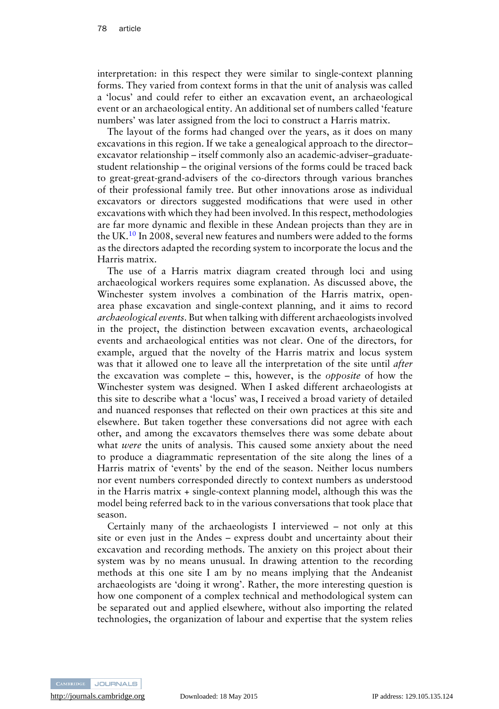interpretation: in this respect they were similar to single-context planning forms. They varied from context forms in that the unit of analysis was called a 'locus' and could refer to either an excavation event, an archaeological event or an archaeological entity. An additional set of numbers called 'feature numbers' was later assigned from the loci to construct a Harris matrix.

The layout of the forms had changed over the years, as it does on many excavations in this region. If we take a genealogical approach to the director– excavator relationship – itself commonly also an academic-adviser–graduatestudent relationship – the original versions of the forms could be traced back to great-great-grand-advisers of the co-directors through various branches of their professional family tree. But other innovations arose as individual excavators or directors suggested modifications that were used in other excavations with which they had been involved. In this respect, methodologies are far more dynamic and flexible in these Andean projects than they are in the UK[.](#page-23-0)<sup>10</sup> In 2008, several new features and numbers were added to the forms as the directors adapted the recording system to incorporate the locus and the Harris matrix.

The use of a Harris matrix diagram created through loci and using archaeological workers requires some explanation. As discussed above, the Winchester system involves a combination of the Harris matrix, openarea phase excavation and single-context planning, and it aims to record *archaeological events*. But when talking with different archaeologists involved in the project, the distinction between excavation events, archaeological events and archaeological entities was not clear. One of the directors, for example, argued that the novelty of the Harris matrix and locus system was that it allowed one to leave all the interpretation of the site until *after* the excavation was complete – this, however, is the *opposite* of how the Winchester system was designed. When I asked different archaeologists at this site to describe what a 'locus' was, I received a broad variety of detailed and nuanced responses that reflected on their own practices at this site and elsewhere. But taken together these conversations did not agree with each other, and among the excavators themselves there was some debate about what *were* the units of analysis. This caused some anxiety about the need to produce a diagrammatic representation of the site along the lines of a Harris matrix of 'events' by the end of the season. Neither locus numbers nor event numbers corresponded directly to context numbers as understood in the Harris matrix + single-context planning model, although this was the model being referred back to in the various conversations that took place that season.

Certainly many of the archaeologists I interviewed – not only at this site or even just in the Andes – express doubt and uncertainty about their excavation and recording methods. The anxiety on this project about their system was by no means unusual. In drawing attention to the recording methods at this one site I am by no means implying that the Andeanist archaeologists are 'doing it wrong'. Rather, the more interesting question is how one component of a complex technical and methodological system can be separated out and applied elsewhere, without also importing the related technologies, the organization of labour and expertise that the system relies

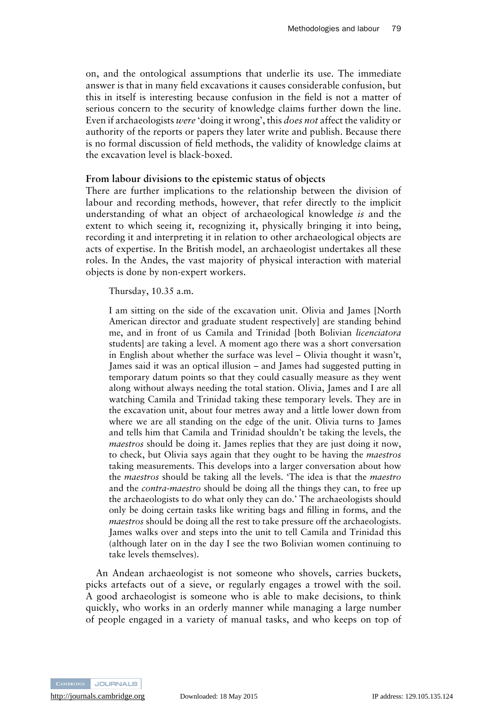on, and the ontological assumptions that underlie its use. The immediate answer is that in many field excavations it causes considerable confusion, but this in itself is interesting because confusion in the field is not a matter of serious concern to the security of knowledge claims further down the line. Even if archaeologists *were* 'doing it wrong', this *does not* affect the validity or authority of the reports or papers they later write and publish. Because there is no formal discussion of field methods, the validity of knowledge claims at the excavation level is black-boxed.

### **From labour divisions to the epistemic status of objects**

There are further implications to the relationship between the division of labour and recording methods, however, that refer directly to the implicit understanding of what an object of archaeological knowledge *is* and the extent to which seeing it, recognizing it, physically bringing it into being, recording it and interpreting it in relation to other archaeological objects are acts of expertise. In the British model, an archaeologist undertakes all these roles. In the Andes, the vast majority of physical interaction with material objects is done by non-expert workers.

Thursday, 10.35 a.m.

I am sitting on the side of the excavation unit. Olivia and James [North American director and graduate student respectively] are standing behind me, and in front of us Camila and Trinidad [both Bolivian *licenciatora* students] are taking a level. A moment ago there was a short conversation in English about whether the surface was level – Olivia thought it wasn't, James said it was an optical illusion – and James had suggested putting in temporary datum points so that they could casually measure as they went along without always needing the total station. Olivia, James and I are all watching Camila and Trinidad taking these temporary levels. They are in the excavation unit, about four metres away and a little lower down from where we are all standing on the edge of the unit. Olivia turns to James and tells him that Camila and Trinidad shouldn't be taking the levels, the *maestros* should be doing it. James replies that they are just doing it now, to check, but Olivia says again that they ought to be having the *maestros* taking measurements. This develops into a larger conversation about how the *maestros* should be taking all the levels. 'The idea is that the *maestro* and the *contra-maestro* should be doing all the things they can, to free up the archaeologists to do what only they can do.' The archaeologists should only be doing certain tasks like writing bags and filling in forms, and the *maestros* should be doing all the rest to take pressure off the archaeologists. James walks over and steps into the unit to tell Camila and Trinidad this (although later on in the day I see the two Bolivian women continuing to take levels themselves).

An Andean archaeologist is not someone who shovels, carries buckets, picks artefacts out of a sieve, or regularly engages a trowel with the soil. A good archaeologist is someone who is able to make decisions, to think quickly, who works in an orderly manner while managing a large number of people engaged in a variety of manual tasks, and who keeps on top of

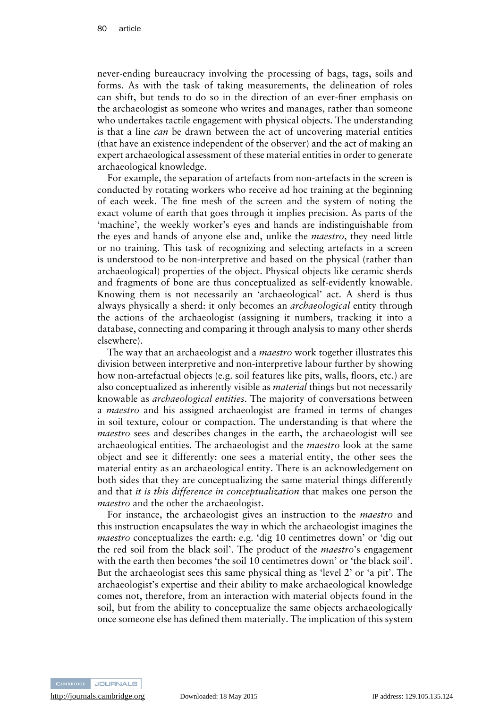never-ending bureaucracy involving the processing of bags, tags, soils and forms. As with the task of taking measurements, the delineation of roles can shift, but tends to do so in the direction of an ever-finer emphasis on the archaeologist as someone who writes and manages, rather than someone who undertakes tactile engagement with physical objects. The understanding is that a line *can* be drawn between the act of uncovering material entities (that have an existence independent of the observer) and the act of making an expert archaeological assessment of these material entities in order to generate archaeological knowledge.

For example, the separation of artefacts from non-artefacts in the screen is conducted by rotating workers who receive ad hoc training at the beginning of each week. The fine mesh of the screen and the system of noting the exact volume of earth that goes through it implies precision. As parts of the 'machine', the weekly worker's eyes and hands are indistinguishable from the eyes and hands of anyone else and, unlike the *maestro*, they need little or no training. This task of recognizing and selecting artefacts in a screen is understood to be non-interpretive and based on the physical (rather than archaeological) properties of the object. Physical objects like ceramic sherds and fragments of bone are thus conceptualized as self-evidently knowable. Knowing them is not necessarily an 'archaeological' act. A sherd is thus always physically a sherd: it only becomes an *archaeological* entity through the actions of the archaeologist (assigning it numbers, tracking it into a database, connecting and comparing it through analysis to many other sherds elsewhere).

The way that an archaeologist and a *maestro* work together illustrates this division between interpretive and non-interpretive labour further by showing how non-artefactual objects (e.g. soil features like pits, walls, floors, etc.) are also conceptualized as inherently visible as *material* things but not necessarily knowable as *archaeological entities*. The majority of conversations between a *maestro* and his assigned archaeologist are framed in terms of changes in soil texture, colour or compaction. The understanding is that where the *maestro* sees and describes changes in the earth, the archaeologist will see archaeological entities. The archaeologist and the *maestro* look at the same object and see it differently: one sees a material entity, the other sees the material entity as an archaeological entity. There is an acknowledgement on both sides that they are conceptualizing the same material things differently and that *it is this difference in conceptualization* that makes one person the *maestro* and the other the archaeologist.

For instance, the archaeologist gives an instruction to the *maestro* and this instruction encapsulates the way in which the archaeologist imagines the *maestro* conceptualizes the earth: e.g. 'dig 10 centimetres down' or 'dig out the red soil from the black soil'. The product of the *maestro*'s engagement with the earth then becomes 'the soil 10 centimetres down' or 'the black soil'. But the archaeologist sees this same physical thing as 'level 2' or 'a pit'. The archaeologist's expertise and their ability to make archaeological knowledge comes not, therefore, from an interaction with material objects found in the soil, but from the ability to conceptualize the same objects archaeologically once someone else has defined them materially. The implication of this system

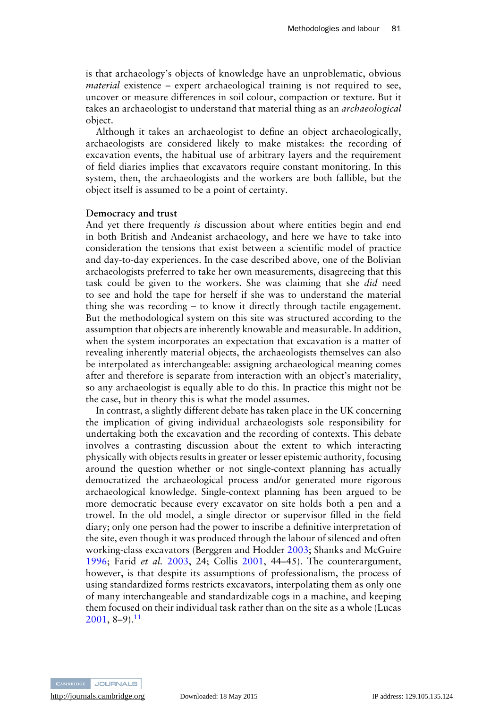is that archaeology's objects of knowledge have an unproblematic, obvious *material* existence – expert archaeological training is not required to see, uncover or measure differences in soil colour, compaction or texture. But it takes an archaeologist to understand that material thing as an *archaeological* object.

Although it takes an archaeologist to define an object archaeologically, archaeologists are considered likely to make mistakes: the recording of excavation events, the habitual use of arbitrary layers and the requirement of field diaries implies that excavators require constant monitoring. In this system, then, the archaeologists and the workers are both fallible, but the object itself is assumed to be a point of certainty.

#### **Democracy and trust**

And yet there frequently *is* discussion about where entities begin and end in both British and Andeanist archaeology, and here we have to take into consideration the tensions that exist between a scientific model of practice and day-to-day experiences. In the case described above, one of the Bolivian archaeologists preferred to take her own measurements, disagreeing that this task could be given to the workers. She was claiming that she *did* need to see and hold the tape for herself if she was to understand the material thing she was recording – to know it directly through tactile engagement. But the methodological system on this site was structured according to the assumption that objects are inherently knowable and measurable. In addition, when the system incorporates an expectation that excavation is a matter of revealing inherently material objects, the archaeologists themselves can also be interpolated as interchangeable: assigning archaeological meaning comes after and therefore is separate from interaction with an object's materiality, so any archaeologist is equally able to do this. In practice this might not be the case, but in theory this is what the model assumes.

In contrast, a slightly different debate has taken place in the UK concerning the implication of giving individual archaeologists sole responsibility for undertaking both the excavation and the recording of contexts. This debate involves a contrasting discussion about the extent to which interacting physically with objects results in greater or lesser epistemic authority, focusing around the question whether or not single-context planning has actually democratized the archaeological process and/or generated more rigorous archaeological knowledge. Single-context planning has been argued to be more democratic because every excavator on site holds both a pen and a trowel. In the old model, a single director or supervisor filled in the field diary; only one person had the power to inscribe a definitive interpretation of the site, even though it was produced through the labour of silenced and often working-class excavators (Berggren and Hodder [2003;](#page-23-0) Shanks and McGuire [1996;](#page-24-0) Farid *et al.* [2003,](#page-24-0) 24; Collis [2001,](#page-23-0) 44–45). The counterargument, however, is that despite its assumptions of professionalism, the process of using standardized forms restricts excavators, interpolating them as only one of many interchangeable and standardizable cogs in a machine, and keeping them focused on their individual task rather than on the site as a whole (Lucas  $2001, 8-9$  $2001, 8-9$ [.](#page-23-0)<sup>11</sup>

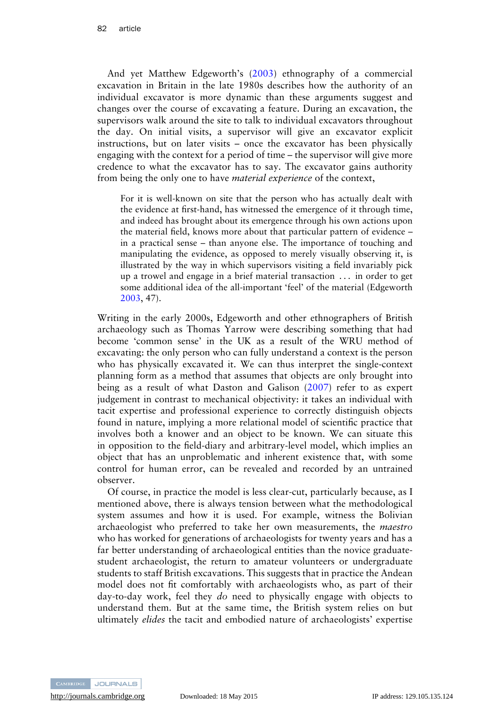And yet Matthew Edgeworth's [\(2003\)](#page-23-0) ethnography of a commercial excavation in Britain in the late 1980s describes how the authority of an individual excavator is more dynamic than these arguments suggest and changes over the course of excavating a feature. During an excavation, the supervisors walk around the site to talk to individual excavators throughout the day. On initial visits, a supervisor will give an excavator explicit instructions, but on later visits – once the excavator has been physically engaging with the context for a period of time – the supervisor will give more credence to what the excavator has to say. The excavator gains authority from being the only one to have *material experience* of the context,

For it is well-known on site that the person who has actually dealt with the evidence at first-hand, has witnessed the emergence of it through time, and indeed has brought about its emergence through his own actions upon the material field, knows more about that particular pattern of evidence – in a practical sense – than anyone else. The importance of touching and manipulating the evidence, as opposed to merely visually observing it, is illustrated by the way in which supervisors visiting a field invariably pick up a trowel and engage in a brief material transaction . . . in order to get some additional idea of the all-important 'feel' of the material (Edgeworth [2003,](#page-23-0) 47).

Writing in the early 2000s, Edgeworth and other ethnographers of British archaeology such as Thomas Yarrow were describing something that had become 'common sense' in the UK as a result of the WRU method of excavating: the only person who can fully understand a context is the person who has physically excavated it. We can thus interpret the single-context planning form as a method that assumes that objects are only brought into being as a result of what Daston and Galison [\(2007\)](#page-23-0) refer to as expert judgement in contrast to mechanical objectivity: it takes an individual with tacit expertise and professional experience to correctly distinguish objects found in nature, implying a more relational model of scientific practice that involves both a knower and an object to be known. We can situate this in opposition to the field-diary and arbitrary-level model, which implies an object that has an unproblematic and inherent existence that, with some control for human error, can be revealed and recorded by an untrained observer.

Of course, in practice the model is less clear-cut, particularly because, as I mentioned above, there is always tension between what the methodological system assumes and how it is used. For example, witness the Bolivian archaeologist who preferred to take her own measurements, the *maestro* who has worked for generations of archaeologists for twenty years and has a far better understanding of archaeological entities than the novice graduatestudent archaeologist, the return to amateur volunteers or undergraduate students to staff British excavations. This suggests that in practice the Andean model does not fit comfortably with archaeologists who, as part of their day-to-day work, feel they *do* need to physically engage with objects to understand them. But at the same time, the British system relies on but ultimately *elides* the tacit and embodied nature of archaeologists' expertise

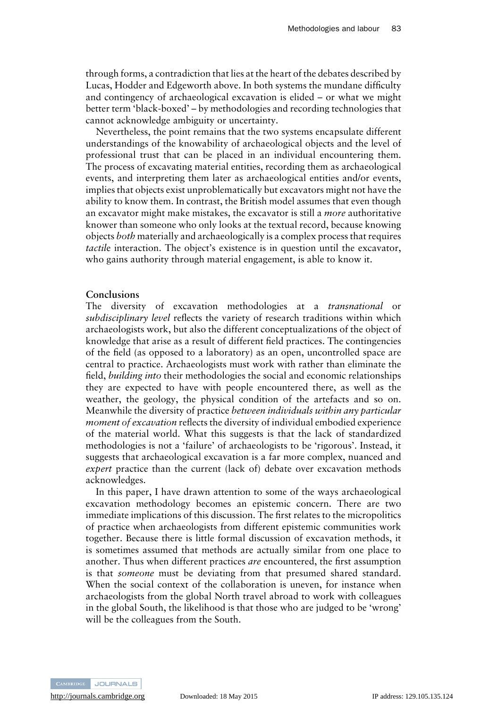through forms, a contradiction that lies at the heart of the debates described by Lucas, Hodder and Edgeworth above. In both systems the mundane difficulty and contingency of archaeological excavation is elided – or what we might better term 'black-boxed' – by methodologies and recording technologies that cannot acknowledge ambiguity or uncertainty.

Nevertheless, the point remains that the two systems encapsulate different understandings of the knowability of archaeological objects and the level of professional trust that can be placed in an individual encountering them. The process of excavating material entities, recording them as archaeological events, and interpreting them later as archaeological entities and/or events, implies that objects exist unproblematically but excavators might not have the ability to know them. In contrast, the British model assumes that even though an excavator might make mistakes, the excavator is still a *more* authoritative knower than someone who only looks at the textual record, because knowing objects *both* materially and archaeologically is a complex process that requires *tactile* interaction. The object's existence is in question until the excavator, who gains authority through material engagement, is able to know it.

## **Conclusions**

The diversity of excavation methodologies at a *transnational* or *subdisciplinary level* reflects the variety of research traditions within which archaeologists work, but also the different conceptualizations of the object of knowledge that arise as a result of different field practices. The contingencies of the field (as opposed to a laboratory) as an open, uncontrolled space are central to practice. Archaeologists must work with rather than eliminate the field, *building into* their methodologies the social and economic relationships they are expected to have with people encountered there, as well as the weather, the geology, the physical condition of the artefacts and so on. Meanwhile the diversity of practice *between individuals within any particular moment of excavation* reflects the diversity of individual embodied experience of the material world. What this suggests is that the lack of standardized methodologies is not a 'failure' of archaeologists to be 'rigorous'. Instead, it suggests that archaeological excavation is a far more complex, nuanced and *expert* practice than the current (lack of) debate over excavation methods acknowledges.

In this paper, I have drawn attention to some of the ways archaeological excavation methodology becomes an epistemic concern. There are two immediate implications of this discussion. The first relates to the micropolitics of practice when archaeologists from different epistemic communities work together. Because there is little formal discussion of excavation methods, it is sometimes assumed that methods are actually similar from one place to another. Thus when different practices *are* encountered, the first assumption is that *someone* must be deviating from that presumed shared standard. When the social context of the collaboration is uneven, for instance when archaeologists from the global North travel abroad to work with colleagues in the global South, the likelihood is that those who are judged to be 'wrong' will be the colleagues from the South.

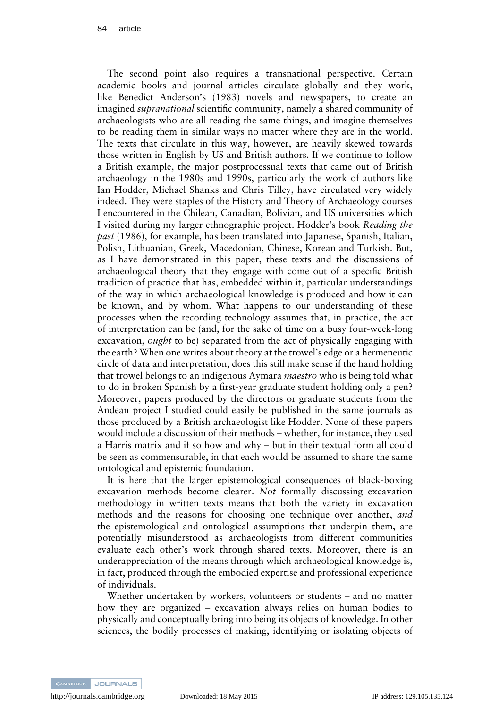The second point also requires a transnational perspective. Certain academic books and journal articles circulate globally and they work, like Benedict Anderson's (1983) novels and newspapers, to create an imagined *supranational* scientific community, namely a shared community of archaeologists who are all reading the same things, and imagine themselves to be reading them in similar ways no matter where they are in the world. The texts that circulate in this way, however, are heavily skewed towards those written in English by US and British authors. If we continue to follow a British example, the major postprocessual texts that came out of British archaeology in the 1980s and 1990s, particularly the work of authors like Ian Hodder, Michael Shanks and Chris Tilley, have circulated very widely indeed. They were staples of the History and Theory of Archaeology courses I encountered in the Chilean, Canadian, Bolivian, and US universities which I visited during my larger ethnographic project. Hodder's book *Reading the past* (1986), for example, has been translated into Japanese, Spanish, Italian, Polish, Lithuanian, Greek, Macedonian, Chinese, Korean and Turkish. But, as I have demonstrated in this paper, these texts and the discussions of archaeological theory that they engage with come out of a specific British tradition of practice that has, embedded within it, particular understandings of the way in which archaeological knowledge is produced and how it can be known, and by whom. What happens to our understanding of these processes when the recording technology assumes that, in practice, the act of interpretation can be (and, for the sake of time on a busy four-week-long excavation, *ought* to be) separated from the act of physically engaging with the earth? When one writes about theory at the trowel's edge or a hermeneutic circle of data and interpretation, does this still make sense if the hand holding that trowel belongs to an indigenous Aymara *maestro* who is being told what to do in broken Spanish by a first-year graduate student holding only a pen? Moreover, papers produced by the directors or graduate students from the Andean project I studied could easily be published in the same journals as those produced by a British archaeologist like Hodder. None of these papers would include a discussion of their methods – whether, for instance, they used a Harris matrix and if so how and why – but in their textual form all could be seen as commensurable, in that each would be assumed to share the same ontological and epistemic foundation.

It is here that the larger epistemological consequences of black-boxing excavation methods become clearer. *Not* formally discussing excavation methodology in written texts means that both the variety in excavation methods and the reasons for choosing one technique over another, *and* the epistemological and ontological assumptions that underpin them, are potentially misunderstood as archaeologists from different communities evaluate each other's work through shared texts. Moreover, there is an underappreciation of the means through which archaeological knowledge is, in fact, produced through the embodied expertise and professional experience of individuals.

Whether undertaken by workers, volunteers or students – and no matter how they are organized – excavation always relies on human bodies to physically and conceptually bring into being its objects of knowledge. In other sciences, the bodily processes of making, identifying or isolating objects of

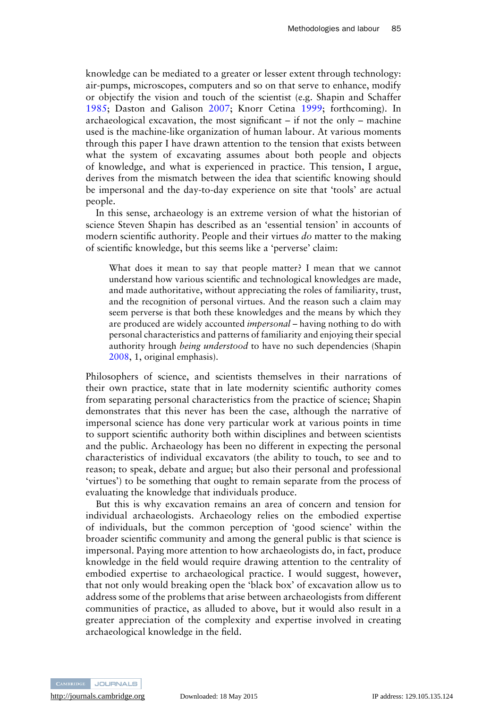knowledge can be mediated to a greater or lesser extent through technology: air-pumps, microscopes, computers and so on that serve to enhance, modify or objectify the vision and touch of the scientist (e.g. Shapin and Schaffer [1985;](#page-24-0) Daston and Galison [2007;](#page-23-0) Knorr Cetina [1999;](#page-24-0) forthcoming). In archaeological excavation, the most significant – if not the only – machine used is the machine-like organization of human labour. At various moments through this paper I have drawn attention to the tension that exists between what the system of excavating assumes about both people and objects of knowledge, and what is experienced in practice. This tension, I argue, derives from the mismatch between the idea that scientific knowing should be impersonal and the day-to-day experience on site that 'tools' are actual people.

In this sense, archaeology is an extreme version of what the historian of science Steven Shapin has described as an 'essential tension' in accounts of modern scientific authority. People and their virtues *do* matter to the making of scientific knowledge, but this seems like a 'perverse' claim:

What does it mean to say that people matter? I mean that we cannot understand how various scientific and technological knowledges are made, and made authoritative, without appreciating the roles of familiarity, trust, and the recognition of personal virtues. And the reason such a claim may seem perverse is that both these knowledges and the means by which they are produced are widely accounted *impersonal* – having nothing to do with personal characteristics and patterns of familiarity and enjoying their special authority hrough *being understood* to have no such dependencies (Shapin [2008,](#page-24-0) 1, original emphasis).

Philosophers of science, and scientists themselves in their narrations of their own practice, state that in late modernity scientific authority comes from separating personal characteristics from the practice of science; Shapin demonstrates that this never has been the case, although the narrative of impersonal science has done very particular work at various points in time to support scientific authority both within disciplines and between scientists and the public. Archaeology has been no different in expecting the personal characteristics of individual excavators (the ability to touch, to see and to reason; to speak, debate and argue; but also their personal and professional 'virtues') to be something that ought to remain separate from the process of evaluating the knowledge that individuals produce.

But this is why excavation remains an area of concern and tension for individual archaeologists. Archaeology relies on the embodied expertise of individuals, but the common perception of 'good science' within the broader scientific community and among the general public is that science is impersonal. Paying more attention to how archaeologists do, in fact, produce knowledge in the field would require drawing attention to the centrality of embodied expertise to archaeological practice. I would suggest, however, that not only would breaking open the 'black box' of excavation allow us to address some of the problems that arise between archaeologists from different communities of practice, as alluded to above, but it would also result in a greater appreciation of the complexity and expertise involved in creating archaeological knowledge in the field.

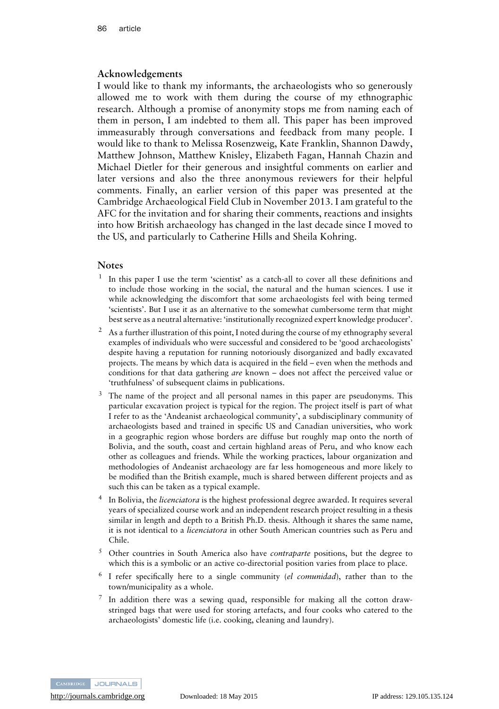## <span id="page-22-0"></span>**Acknowledgements**

I would like to thank my informants, the archaeologists who so generously allowed me to work with them during the course of my ethnographic research. Although a promise of anonymity stops me from naming each of them in person, I am indebted to them all. This paper has been improved immeasurably through conversations and feedback from many people. I would like to thank to Melissa Rosenzweig, Kate Franklin, Shannon Dawdy, Matthew Johnson, Matthew Knisley, Elizabeth Fagan, Hannah Chazin and Michael Dietler for their generous and insightful comments on earlier and later versions and also the three anonymous reviewers for their helpful comments. Finally, an earlier version of this paper was presented at the Cambridge Archaeological Field Club in November 2013. I am grateful to the AFC for the invitation and for sharing their comments, reactions and insights into how British archaeology has changed in the last decade since I moved to the US, and particularly to Catherine Hills and Sheila Kohring.

## **Notes**

- <sup>1</sup> In this paper I use the term 'scientist' as a catch-all to cover all these definitions and to include those working in the social, the natural and the human sciences. I use it while acknowledging the discomfort that some archaeologists feel with being termed 'scientists'. But I use it as an alternative to the somewhat cumbersome term that might best serve as a neutral alternative: 'institutionally recognized expert knowledge producer'.
- <sup>2</sup> As a further illustration of this point, I noted during the course of my ethnography several examples of individuals who were successful and considered to be 'good archaeologists' despite having a reputation for running notoriously disorganized and badly excavated projects. The means by which data is acquired in the field – even when the methods and conditions for that data gathering *are* known – does not affect the perceived value or 'truthfulness' of subsequent claims in publications.
- $3$  The name of the project and all personal names in this paper are pseudonyms. This particular excavation project is typical for the region. The project itself is part of what I refer to as the 'Andeanist archaeological community', a subdisciplinary community of archaeologists based and trained in specific US and Canadian universities, who work in a geographic region whose borders are diffuse but roughly map onto the north of Bolivia, and the south, coast and certain highland areas of Peru, and who know each other as colleagues and friends. While the working practices, labour organization and methodologies of Andeanist archaeology are far less homogeneous and more likely to be modified than the British example, much is shared between different projects and as such this can be taken as a typical example.
- <sup>4</sup> In Bolivia, the *licenciatora* is the highest professional degree awarded. It requires several years of specialized course work and an independent research project resulting in a thesis similar in length and depth to a British Ph.D. thesis. Although it shares the same name, it is not identical to a *licenciatora* in other South American countries such as Peru and Chile.
- <sup>5</sup> Other countries in South America also have *contraparte* positions, but the degree to which this is a symbolic or an active co-directorial position varies from place to place.
- <sup>6</sup> I refer specifically here to a single community (*el comunidad*), rather than to the town/municipality as a whole.
- In addition there was a sewing quad, responsible for making all the cotton drawstringed bags that were used for storing artefacts, and four cooks who catered to the archaeologists' domestic life (i.e. cooking, cleaning and laundry).

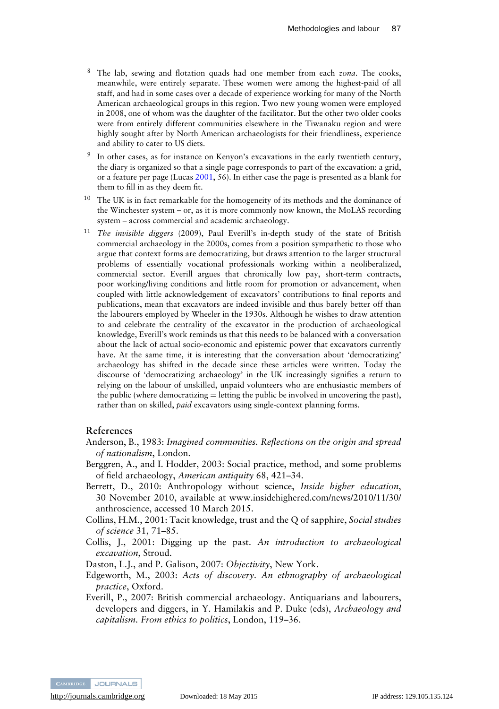- <span id="page-23-0"></span><sup>8</sup> The lab, sewing and flotation quads had one member from each *zona*. The cooks, meanwhile, were entirely separate. These women were among the highest-paid of all staff, and had in some cases over a decade of experience working for many of the North American archaeological groups in this region. Two new young women were employed in 2008, one of whom was the daughter of the facilitator. But the other two older cooks were from entirely different communities elsewhere in the Tiwanaku region and were highly sought after by North American archaeologists for their friendliness, experience and ability to cater to US diets.
- In other cases, as for instance on Kenyon's excavations in the early twentieth century, the diary is organized so that a single page corresponds to part of the excavation: a grid, or a feature per page (Lucas [2001,](#page-24-0) 56). In either case the page is presented as a blank for them to fill in as they deem fit.
- $10$  The UK is in fact remarkable for the homogeneity of its methods and the dominance of the Winchester system – or, as it is more commonly now known, the MoLAS recording system – across commercial and academic archaeology.
- <sup>11</sup> *The invisible diggers* (2009), Paul Everill's in-depth study of the state of British commercial archaeology in the 2000s, comes from a position sympathetic to those who argue that context forms are democratizing, but draws attention to the larger structural problems of essentially vocational professionals working within a neoliberalized, commercial sector. Everill argues that chronically low pay, short-term contracts, poor working/living conditions and little room for promotion or advancement, when coupled with little acknowledgement of excavators' contributions to final reports and publications, mean that excavators are indeed invisible and thus barely better off than the labourers employed by Wheeler in the 1930s. Although he wishes to draw attention to and celebrate the centrality of the excavator in the production of archaeological knowledge, Everill's work reminds us that this needs to be balanced with a conversation about the lack of actual socio-economic and epistemic power that excavators currently have. At the same time, it is interesting that the conversation about 'democratizing' archaeology has shifted in the decade since these articles were written. Today the discourse of 'democratizing archaeology' in the UK increasingly signifies a return to relying on the labour of unskilled, unpaid volunteers who are enthusiastic members of the public (where democratizing  $=$  letting the public be involved in uncovering the past), rather than on skilled, *paid* excavators using single-context planning forms.

## **References**

- Anderson, B., 1983: *Imagined communities. Reflections on the origin and spread of nationalism*, London.
- Berggren, A., and I. Hodder, 2003: Social practice, method, and some problems of field archaeology, *American antiquity* 68, 421–34.
- Berrett, D., 2010: Anthropology without science, *Inside higher education*, 30 November 2010, available at www.insidehighered.com/news/2010/11/30/ anthroscience, accessed 10 March 2015.
- Collins, H.M., 2001: Tacit knowledge, trust and the Q of sapphire, *Social studies of science* 31, 71–85.
- Collis, J., 2001: Digging up the past. *An introduction to archaeological excavation*, Stroud.
- Daston, L.J., and P. Galison, 2007: *Objectivity*, New York.
- Edgeworth, M., 2003: *Acts of discovery*. *An ethnography of archaeological practice*, Oxford.
- Everill, P., 2007: British commercial archaeology. Antiquarians and labourers, developers and diggers, in Y. Hamilakis and P. Duke (eds), *Archaeology and capitalism. From ethics to politics*, London, 119–36.